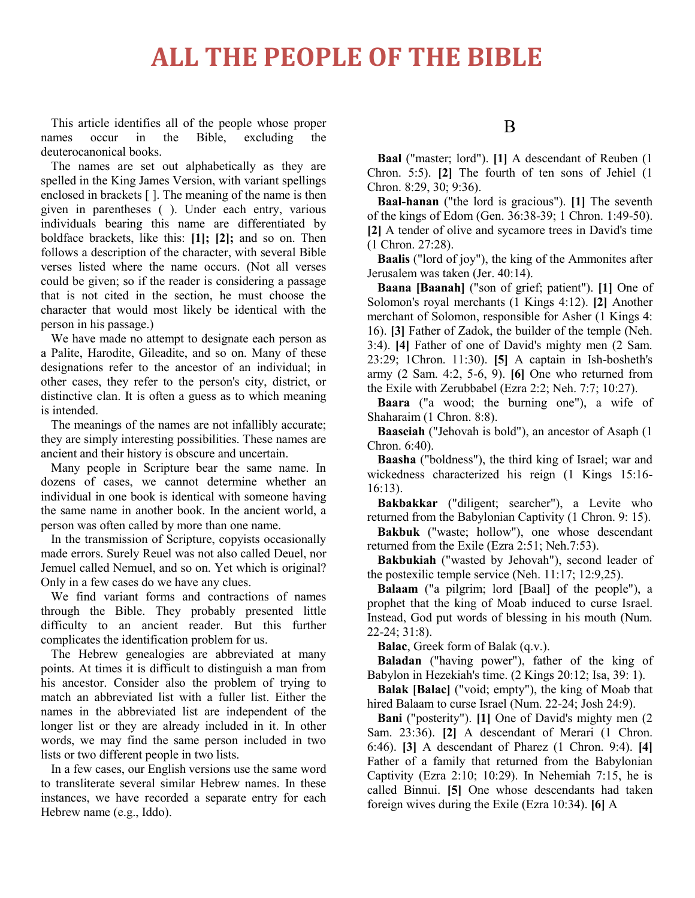This article identifies all of the people whose proper names occur in the Bible, excluding the deuterocanonical books.

The names are set out alphabetically as they are spelled in the King James Version, with variant spellings enclosed in brackets [ ]. The meaning of the name is then given in parentheses ( ). Under each entry, various individuals bearing this name are differentiated by boldface brackets, like this: **[1]; [2];** and so on. Then follows a description of the character, with several Bible verses listed where the name occurs. (Not all verses could be given; so if the reader is considering a passage that is not cited in the section, he must choose the character that would most likely be identical with the person in his passage.)

We have made no attempt to designate each person as a Palite, Harodite, Gileadite, and so on. Many of these designations refer to the ancestor of an individual; in other cases, they refer to the person's city, district, or distinctive clan. It is often a guess as to which meaning is intended.

The meanings of the names are not infallibly accurate; they are simply interesting possibilities. These names are ancient and their history is obscure and uncertain.

Many people in Scripture bear the same name. In dozens of cases, we cannot determine whether an individual in one book is identical with someone having the same name in another book. In the ancient world, a person was often called by more than one name.

In the transmission of Scripture, copyists occasionally made errors. Surely Reuel was not also called Deuel, nor Jemuel called Nemuel, and so on. Yet which is original? Only in a few cases do we have any clues.

We find variant forms and contractions of names through the Bible. They probably presented little difficulty to an ancient reader. But this further complicates the identification problem for us.

The Hebrew genealogies are abbreviated at many points. At times it is difficult to distinguish a man from his ancestor. Consider also the problem of trying to match an abbreviated list with a fuller list. Either the names in the abbreviated list are independent of the longer list or they are already included in it. In other words, we may find the same person included in two lists or two different people in two lists.

In a few cases, our English versions use the same word to transliterate several similar Hebrew names. In these instances, we have recorded a separate entry for each Hebrew name (e.g., Iddo).

#### B

**Baal** ("master; lord"). **[1]** A descendant of Reuben (1 Chron. 5:5). **[2]** The fourth of ten sons of Jehiel (1 Chron. 8:29, 30; 9:36).

**Baal-hanan** ("the lord is gracious"). **[1]** The seventh of the kings of Edom (Gen. 36:38-39; 1 Chron. 1:49-50). **[2]** A tender of olive and sycamore trees in David's time (1 Chron. 27:28).

**Baalis** ("lord of joy"), the king of the Ammonites after Jerusalem was taken (Jer. 40:14).

**Baana [Baanah]** ("son of grief; patient"). **[1]** One of Solomon's royal merchants (1 Kings 4:12). **[2]** Another merchant of Solomon, responsible for Asher (1 Kings 4: 16). **[3]** Father of Zadok, the builder of the temple (Neh. 3:4). **[4]** Father of one of David's mighty men (2 Sam. 23:29; 1Chron. 11:30). **[5]** A captain in Ish-bosheth's army (2 Sam. 4:2, 5-6, 9). **[6]** One who returned from the Exile with Zerubbabel (Ezra 2:2; Neh. 7:7; 10:27).

**Baara** ("a wood; the burning one"), a wife of Shaharaim (1 Chron. 8:8).

**Baaseiah** ("Jehovah is bold"), an ancestor of Asaph (1 Chron. 6:40).

**Baasha** ("boldness"), the third king of Israel; war and wickedness characterized his reign (1 Kings 15:16- 16:13).

**Bakbakkar** ("diligent; searcher"), a Levite who returned from the Babylonian Captivity (1 Chron. 9: 15).

**Bakbuk** ("waste; hollow"), one whose descendant returned from the Exile (Ezra 2:51; Neh.7:53).

**Bakbukiah** ("wasted by Jehovah"), second leader of the postexilic temple service (Neh. 11:17; 12:9,25).

**Balaam** ("a pilgrim; lord [Baal] of the people"), a prophet that the king of Moab induced to curse Israel. Instead, God put words of blessing in his mouth (Num. 22-24; 31:8).

**Balac**, Greek form of Balak (q.v.).

**Baladan** ("having power"), father of the king of Babylon in Hezekiah's time. (2 Kings 20:12; Isa, 39: 1).

**Balak [Balac]** ("void; empty"), the king of Moab that hired Balaam to curse Israel (Num. 22-24; Josh 24:9).

**Bani** ("posterity"). **[1]** One of David's mighty men (2 Sam. 23:36). **[2]** A descendant of Merari (1 Chron. 6:46). **[3]** A descendant of Pharez (1 Chron. 9:4). **[4]** Father of a family that returned from the Babylonian Captivity (Ezra 2:10; 10:29). In Nehemiah 7:15, he is called Binnui. **[5]** One whose descendants had taken foreign wives during the Exile (Ezra 10:34). **[6]** A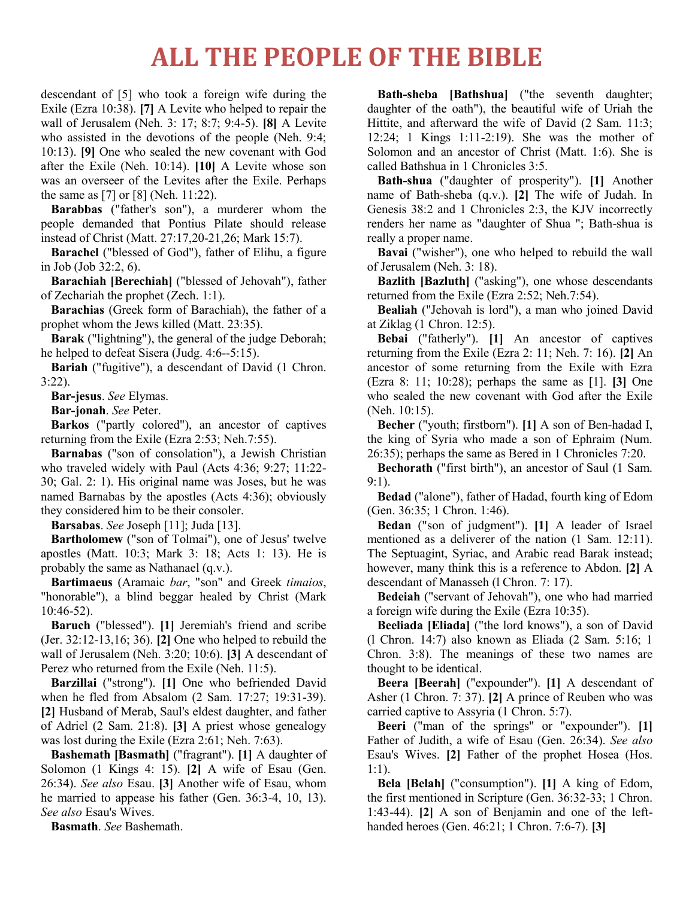descendant of [5] who took a foreign wife during the Exile (Ezra 10:38). **[7]** A Levite who helped to repair the wall of Jerusalem (Neh. 3: 17; 8:7; 9:4-5). **[8]** A Levite who assisted in the devotions of the people (Neh. 9:4; 10:13). **[9]** One who sealed the new covenant with God after the Exile (Neh. 10:14). **[10]** A Levite whose son was an overseer of the Levites after the Exile. Perhaps the same as [7] or [8] (Neh. 11:22).

**Barabbas** ("father's son"), a murderer whom the people demanded that Pontius Pilate should release instead of Christ (Matt. 27:17,20-21,26; Mark 15:7).

**Barachel** ("blessed of God"), father of Elihu, a figure in Job (Job 32:2, 6).

**Barachiah [Berechiah]** ("blessed of Jehovah"), father of Zechariah the prophet (Zech. 1:1).

**Barachias** (Greek form of Barachiah), the father of a prophet whom the Jews killed (Matt. 23:35).

**Barak** ("lightning"), the general of the judge Deborah; he helped to defeat Sisera (Judg. 4:6--5:15).

**Bariah** ("fugitive"), a descendant of David (1 Chron. 3:22).

**Bar-jesus**. *See* Elymas.

**Bar-jonah**. *See* Peter.

**Barkos** ("partly colored"), an ancestor of captives returning from the Exile (Ezra 2:53; Neh.7:55).

**Barnabas** ("son of consolation"), a Jewish Christian who traveled widely with Paul (Acts 4:36; 9:27; 11:22- 30; Gal. 2: 1). His original name was Joses, but he was named Barnabas by the apostles (Acts 4:36); obviously they considered him to be their consoler.

**Barsabas**. *See* Joseph [11]; Juda [13].

**Bartholomew** ("son of Tolmai"), one of Jesus' twelve apostles (Matt. 10:3; Mark 3: 18; Acts 1: 13). He is probably the same as Nathanael (q.v.).

**Bartimaeus** (Aramaic *bar*, "son" and Greek *timaios*, "honorable"), a blind beggar healed by Christ (Mark 10:46-52).

**Baruch** ("blessed"). **[1]** Jeremiah's friend and scribe (Jer. 32:12-13,16; 36). **[2]** One who helped to rebuild the wall of Jerusalem (Neh. 3:20; 10:6). **[3]** A descendant of Perez who returned from the Exile (Neh. 11:5).

**Barzillai** ("strong"). **[1]** One who befriended David when he fled from Absalom (2 Sam. 17:27; 19:31-39). **[2]** Husband of Merab, Saul's eldest daughter, and father of Adriel (2 Sam. 21:8). **[3]** A priest whose genealogy was lost during the Exile (Ezra 2:61; Neh. 7:63).

**Bashemath [Basmath]** ("fragrant"). **[1]** A daughter of Solomon (1 Kings 4: 15). **[2]** A wife of Esau (Gen. 26:34). *See also* Esau. **[3]** Another wife of Esau, whom he married to appease his father (Gen. 36:3-4, 10, 13). *See also* Esau's Wives.

**Basmath**. *See* Bashemath.

**Bath-sheba [Bathshua]** ("the seventh daughter; daughter of the oath"), the beautiful wife of Uriah the Hittite, and afterward the wife of David (2 Sam. 11:3; 12:24; 1 Kings 1:11-2:19). She was the mother of Solomon and an ancestor of Christ (Matt. 1:6). She is called Bathshua in 1 Chronicles 3:5.

**Bath-shua** ("daughter of prosperity"). **[1]** Another name of Bath-sheba (q.v.). **[2]** The wife of Judah. In Genesis 38:2 and 1 Chronicles 2:3, the KJV incorrectly renders her name as "daughter of Shua "; Bath-shua is really a proper name.

**Bavai** ("wisher"), one who helped to rebuild the wall of Jerusalem (Neh. 3: 18).

**Bazlith [Bazluth]** ("asking"), one whose descendants returned from the Exile (Ezra 2:52; Neh.7:54).

**Bealiah** ("Jehovah is lord"), a man who joined David at Ziklag (1 Chron. 12:5).

**Bebai** ("fatherly"). **[1]** An ancestor of captives returning from the Exile (Ezra 2: 11; Neh. 7: 16). **[2]** An ancestor of some returning from the Exile with Ezra (Ezra 8: 11; 10:28); perhaps the same as [1]. **[3]** One who sealed the new covenant with God after the Exile (Neh. 10:15).

**Becher** ("youth; firstborn"). **[1]** A son of Ben-hadad I, the king of Syria who made a son of Ephraim (Num. 26:35); perhaps the same as Bered in 1 Chronicles 7:20.

**Bechorath** ("first birth"), an ancestor of Saul (1 Sam. 9:1).

**Bedad** ("alone"), father of Hadad, fourth king of Edom (Gen. 36:35; 1 Chron. 1:46).

**Bedan** ("son of judgment"). **[1]** A leader of Israel mentioned as a deliverer of the nation (1 Sam. 12:11). The Septuagint, Syriac, and Arabic read Barak instead; however, many think this is a reference to Abdon. **[2]** A descendant of Manasseh (l Chron. 7: 17).

**Bedeiah** ("servant of Jehovah"), one who had married a foreign wife during the Exile (Ezra 10:35).

**Beeliada [Eliada]** ("the lord knows"), a son of David (l Chron. 14:7) also known as Eliada (2 Sam. 5:16; 1 Chron. 3:8). The meanings of these two names are thought to be identical.

**Beera [Beerah]** ("expounder"). **[1]** A descendant of Asher (1 Chron. 7: 37). **[2]** A prince of Reuben who was carried captive to Assyria (1 Chron. 5:7).

**Beeri** ("man of the springs" or "expounder"). **[1]** Father of Judith, a wife of Esau (Gen. 26:34). *See also* Esau's Wives. **[2]** Father of the prophet Hosea (Hos. 1:1).

**Bela [Belah]** ("consumption"). **[1]** A king of Edom, the first mentioned in Scripture (Gen. 36:32-33; 1 Chron. 1:43-44). **[2]** A son of Benjamin and one of the lefthanded heroes (Gen. 46:21; 1 Chron. 7:6-7). **[3]**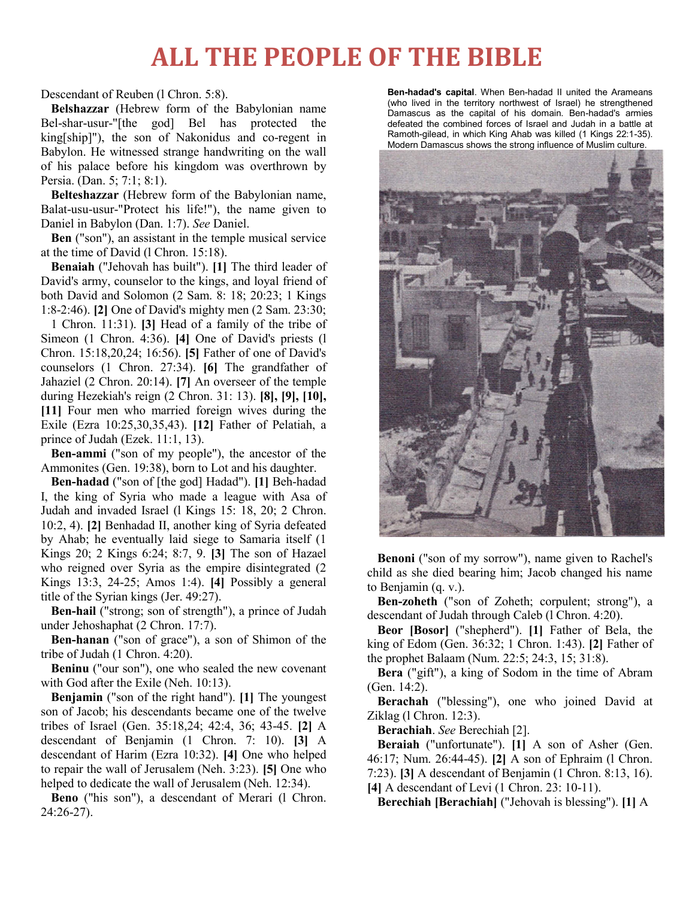Descendant of Reuben (l Chron. 5:8).

**Belshazzar** (Hebrew form of the Babylonian name Bel-shar-usur-"[the god] Bel has protected the king[ship]"), the son of Nakonidus and co-regent in Babylon. He witnessed strange handwriting on the wall of his palace before his kingdom was overthrown by Persia. (Dan. 5; 7:1; 8:1).

**Belteshazzar** (Hebrew form of the Babylonian name, Balat-usu-usur-"Protect his life!"), the name given to Daniel in Babylon (Dan. 1:7). *See* Daniel.

**Ben** ("son"), an assistant in the temple musical service at the time of David (l Chron. 15:18).

**Benaiah** ("Jehovah has built"). **[1]** The third leader of David's army, counselor to the kings, and loyal friend of both David and Solomon (2 Sam. 8: 18; 20:23; 1 Kings 1:8-2:46). **[2]** One of David's mighty men (2 Sam. 23:30;

1 Chron. 11:31). **[3]** Head of a family of the tribe of Simeon (1 Chron. 4:36). **[4]** One of David's priests (l Chron. 15:18,20,24; 16:56). **[5]** Father of one of David's counselors (1 Chron. 27:34). **[6]** The grandfather of Jahaziel (2 Chron. 20:14). **[7]** An overseer of the temple during Hezekiah's reign (2 Chron. 31: 13). **[8], [9], [10], [11]** Four men who married foreign wives during the Exile (Ezra 10:25,30,35,43). **[12]** Father of Pelatiah, a prince of Judah (Ezek. 11:1, 13).

**Ben-ammi** ("son of my people"), the ancestor of the Ammonites (Gen. 19:38), born to Lot and his daughter.

**Ben-hadad** ("son of [the god] Hadad"). **[1]** Beh-hadad I, the king of Syria who made a league with Asa of Judah and invaded Israel (l Kings 15: 18, 20; 2 Chron. 10:2, 4). **[2]** Benhadad II, another king of Syria defeated by Ahab; he eventually laid siege to Samaria itself (1 Kings 20; 2 Kings 6:24; 8:7, 9. **[3]** The son of Hazael who reigned over Syria as the empire disintegrated (2 Kings 13:3, 24-25; Amos 1:4). **[4]** Possibly a general title of the Syrian kings (Jer. 49:27).

**Ben-hail** ("strong; son of strength"), a prince of Judah under Jehoshaphat (2 Chron. 17:7).

**Ben-hanan** ("son of grace"), a son of Shimon of the tribe of Judah (1 Chron. 4:20).

**Beninu** ("our son"), one who sealed the new covenant with God after the Exile (Neh. 10:13).

**Benjamin** ("son of the right hand"). **[1]** The youngest son of Jacob; his descendants became one of the twelve tribes of Israel (Gen. 35:18,24; 42:4, 36; 43-45. **[2]** A descendant of Benjamin (1 Chron. 7: 10). **[3]** A descendant of Harim (Ezra 10:32). **[4]** One who helped to repair the wall of Jerusalem (Neh. 3:23). **[5]** One who helped to dedicate the wall of Jerusalem (Neh. 12:34).

**Beno** ("his son"), a descendant of Merari (l Chron. 24:26-27).

**Ben-hadad's capital**. When Ben-hadad II united the Arameans (who lived in the territory northwest of Israel) he strengthened Damascus as the capital of his domain. Ben-hadad's armies defeated the combined forces of Israel and Judah in a battle at Ramoth-gilead, in which King Ahab was killed (1 Kings 22:1-35). Modern Damascus shows the strong influence of Muslim culture.



**Benoni** ("son of my sorrow"), name given to Rachel's child as she died bearing him; Jacob changed his name to Benjamin (q. v.).

**Ben-zoheth** ("son of Zoheth; corpulent; strong"), a descendant of Judah through Caleb (l Chron. 4:20).

**Beor [Bosor]** ("shepherd"). **[1]** Father of Bela, the king of Edom (Gen. 36:32; 1 Chron. 1:43). **[2]** Father of the prophet Balaam (Num. 22:5; 24:3, 15; 31:8).

**Bera** ("gift"), a king of Sodom in the time of Abram (Gen. 14:2).

**Berachah** ("blessing"), one who joined David at Ziklag (l Chron. 12:3).

**Berachiah**. *See* Berechiah [2].

**Beraiah** ("unfortunate"). **[1]** A son of Asher (Gen. 46:17; Num. 26:44-45). **[2]** A son of Ephraim (l Chron. 7:23). **[3]** A descendant of Benjamin (1 Chron. 8:13, 16). **[4]** A descendant of Levi (1 Chron. 23: 10-11).

**Berechiah [Berachiah]** ("Jehovah is blessing"). **[1]** A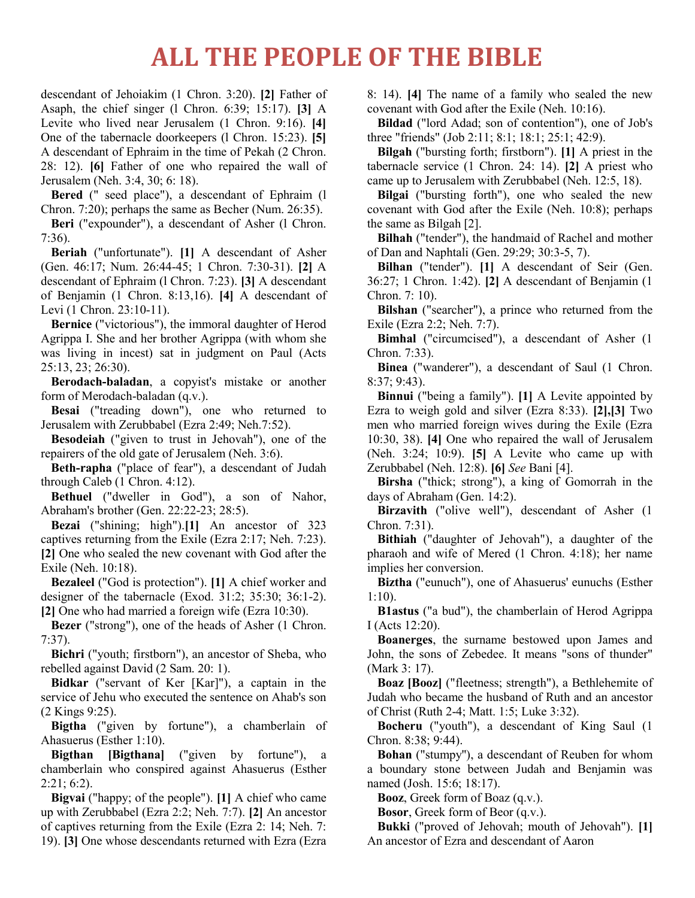descendant of Jehoiakim (1 Chron. 3:20). **[2]** Father of Asaph, the chief singer (l Chron. 6:39; 15:17). **[3]** A Levite who lived near Jerusalem (1 Chron. 9:16). **[4]** One of the tabernacle doorkeepers (l Chron. 15:23). **[5]** A descendant of Ephraim in the time of Pekah (2 Chron. 28: 12). **[6]** Father of one who repaired the wall of Jerusalem (Neh. 3:4, 30; 6: 18).

**Bered** (" seed place"), a descendant of Ephraim (l Chron. 7:20); perhaps the same as Becher (Num. 26:35).

Beri ("expounder"), a descendant of Asher (1 Chron. 7:36).

**Beriah** ("unfortunate"). **[1]** A descendant of Asher (Gen. 46:17; Num. 26:44-45; 1 Chron. 7:30-31). **[2]** A descendant of Ephraim (l Chron. 7:23). **[3]** A descendant of Benjamin (1 Chron. 8:13,16). **[4]** A descendant of Levi (1 Chron. 23:10-11).

**Bernice** ("victorious"), the immoral daughter of Herod Agrippa I. She and her brother Agrippa (with whom she was living in incest) sat in judgment on Paul (Acts 25:13, 23; 26:30).

**Berodach-baladan**, a copyist's mistake or another form of Merodach-baladan (q.v.).

**Besai** ("treading down"), one who returned to Jerusalem with Zerubbabel (Ezra 2:49; Neh.7:52).

**Besodeiah** ("given to trust in Jehovah"), one of the repairers of the old gate of Jerusalem (Neh. 3:6).

**Beth-rapha** ("place of fear"), a descendant of Judah through Caleb (1 Chron. 4:12).

**Bethuel** ("dweller in God"), a son of Nahor, Abraham's brother (Gen. 22:22-23; 28:5).

**Bezai** ("shining; high").**[1]** An ancestor of 323 captives returning from the Exile (Ezra 2:17; Neh. 7:23). **[2]** One who sealed the new covenant with God after the Exile (Neh. 10:18).

**Bezaleel** ("God is protection"). **[1]** A chief worker and designer of the tabernacle (Exod. 31:2; 35:30; 36:1-2). **[2]** One who had married a foreign wife (Ezra 10:30).

**Bezer** ("strong"), one of the heads of Asher (1 Chron. 7:37).

**Bichri** ("youth; firstborn"), an ancestor of Sheba, who rebelled against David (2 Sam. 20: 1).

**Bidkar** ("servant of Ker [Kar]"), a captain in the service of Jehu who executed the sentence on Ahab's son (2 Kings 9:25).

**Bigtha** ("given by fortune"), a chamberlain of Ahasuerus (Esther 1:10).

**Bigthan [Bigthana]** ("given by fortune"), a chamberlain who conspired against Ahasuerus (Esther 2:21; 6:2).

**Bigvai** ("happy; of the people"). **[1]** A chief who came up with Zerubbabel (Ezra 2:2; Neh. 7:7). **[2]** An ancestor of captives returning from the Exile (Ezra 2: 14; Neh. 7: 19). **[3]** One whose descendants returned with Ezra (Ezra

8: 14). **[4]** The name of a family who sealed the new covenant with God after the Exile (Neh. 10:16).

**Bildad** ("lord Adad; son of contention"), one of Job's three "friends" (Job 2:11; 8:1; 18:1; 25:1; 42:9).

**Bilgah** ("bursting forth; firstborn"). **[1]** A priest in the tabernacle service (1 Chron. 24: 14). **[2]** A priest who came up to Jerusalem with Zerubbabel (Neh. 12:5, 18).

**Bilgai** ("bursting forth"), one who sealed the new covenant with God after the Exile (Neh. 10:8); perhaps the same as Bilgah [2].

**Bilhah** ("tender"), the handmaid of Rachel and mother of Dan and Naphtali (Gen. 29:29; 30:3-5, 7).

**Bilhan** ("tender"). **[1]** A descendant of Seir (Gen. 36:27; 1 Chron. 1:42). **[2]** A descendant of Benjamin (1 Chron. 7: 10).

**Bilshan** ("searcher"), a prince who returned from the Exile (Ezra 2:2; Neh. 7:7).

**Bimhal** ("circumcised"), a descendant of Asher (1 Chron. 7:33).

**Binea** ("wanderer"), a descendant of Saul (1 Chron. 8:37; 9:43).

**Binnui** ("being a family"). **[1]** A Levite appointed by Ezra to weigh gold and silver (Ezra 8:33). **[2],[3]** Two men who married foreign wives during the Exile (Ezra 10:30, 38). **[4]** One who repaired the wall of Jerusalem (Neh. 3:24; 10:9). **[5]** A Levite who came up with Zerubbabel (Neh. 12:8). **[6]** *See* Bani [4].

**Birsha** ("thick; strong"), a king of Gomorrah in the days of Abraham (Gen. 14:2).

**Birzavith** ("olive well"), descendant of Asher (1 Chron. 7:31).

**Bithiah** ("daughter of Jehovah"), a daughter of the pharaoh and wife of Mered (1 Chron. 4:18); her name implies her conversion.

**Biztha** ("eunuch"), one of Ahasuerus' eunuchs (Esther 1:10).

**B1astus** ("a bud"), the chamberlain of Herod Agrippa I (Acts 12:20).

**Boanerges**, the surname bestowed upon James and John, the sons of Zebedee. It means "sons of thunder" (Mark 3: 17).

**Boaz [Booz]** ("fleetness; strength"), a Bethlehemite of Judah who became the husband of Ruth and an ancestor of Christ (Ruth 2-4; Matt. 1:5; Luke 3:32).

**Bocheru** ("youth"), a descendant of King Saul (1 Chron. 8:38; 9:44).

**Bohan** ("stumpy''), a descendant of Reuben for whom a boundary stone between Judah and Benjamin was named (Josh. 15:6; 18:17).

**Booz**, Greek form of Boaz (q.v.).

**Bosor**, Greek form of Beor (q.v.).

**Bukki** ("proved of Jehovah; mouth of Jehovah"). **[1]** An ancestor of Ezra and descendant of Aaron